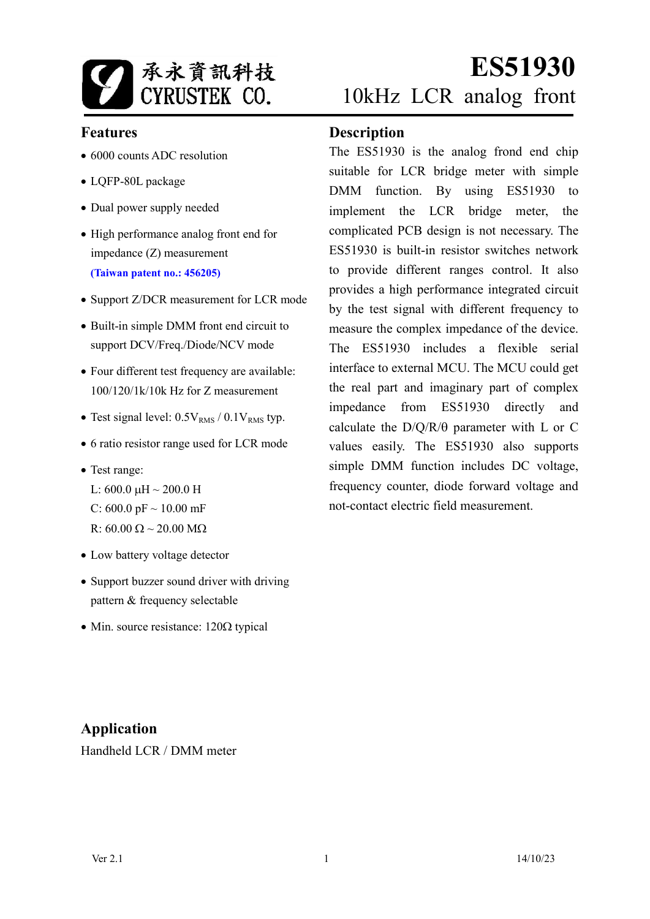

# **Features**

- 6000 counts ADC resolution
- LQFP-80L package
- Dual power supply needed
- High performance analog front end for impedance (Z) measurement **(Taiwan patent no.: 456205)**
- Support Z/DCR measurement for LCR mode
- Built-in simple DMM front end circuit to support DCV/Freq./Diode/NCV mode
- Four different test frequency are available: 100/120/1k/10k Hz for Z measurement
- Test signal level:  $0.5V<sub>RMS</sub> / 0.1V<sub>RMS</sub>$  typ.
- 6 ratio resistor range used for LCR mode
- Test range:
	- L:  $600.0 \text{ }\mu\text{H} \sim 200.0 \text{ }\text{H}$
	- C: 600.0 pF  $\sim$  10.00 mF
	- R:  $60.00 \Omega \sim 20.00 M\Omega$
- Low battery voltage detector
- Support buzzer sound driver with driving pattern & frequency selectable
- Min. source resistance:  $120\Omega$  typical

## **Description**

The ES51930 is the analog frond end chip suitable for LCR bridge meter with simple DMM function. By using ES51930 to implement the LCR bridge meter, the complicated PCB design is not necessary. The ES51930 is built-in resistor switches network to provide different ranges control. It also provides a high performance integrated circuit by the test signal with different frequency to measure the complex impedance of the device. The ES51930 includes a flexible serial interface to external MCU. The MCU could get the real part and imaginary part of complex impedance from ES51930 directly and calculate the  $D/O/R/\theta$  parameter with L or C values easily. The ES51930 also supports simple DMM function includes DC voltage, frequency counter, diode forward voltage and not-contact electric field measurement.

# **Application**

Handheld LCR / DMM meter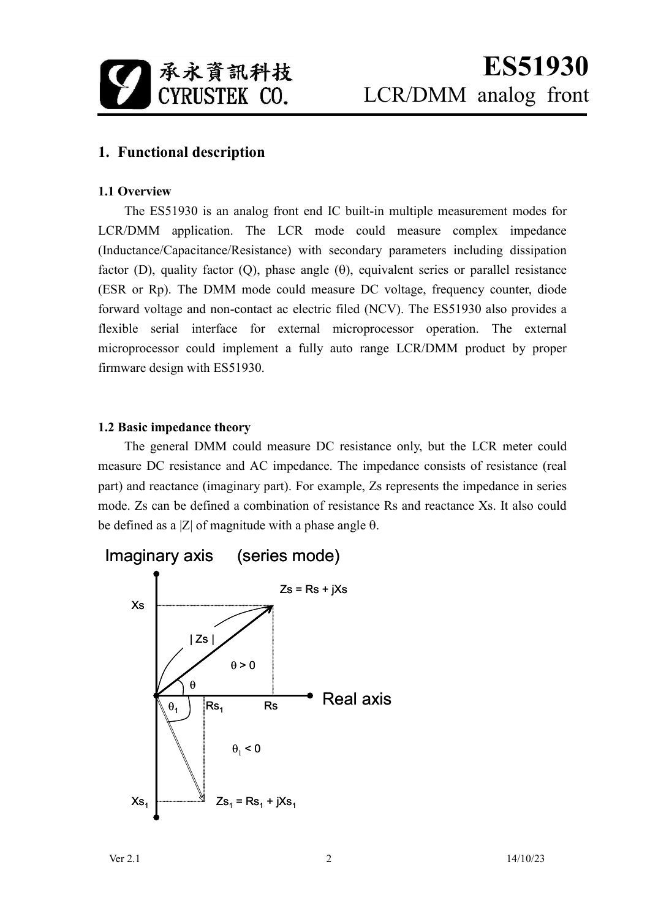

# **1. Functional description**

#### **1.1 Overview**

The ES51930 is an analog front end IC built-in multiple measurement modes for LCR/DMM application. The LCR mode could measure complex impedance (Inductance/Capacitance/Resistance) with secondary parameters including dissipation factor (D), quality factor (O), phase angle  $(\theta)$ , equivalent series or parallel resistance (ESR or Rp). The DMM mode could measure DC voltage, frequency counter, diode forward voltage and non-contact ac electric filed (NCV). The ES51930 also provides a flexible serial interface for external microprocessor operation. The external microprocessor could implement a fully auto range LCR/DMM product by proper firmware design with ES51930.

#### **1.2 Basic impedance theory**

The general DMM could measure DC resistance only, but the LCR meter could measure DC resistance and AC impedance. The impedance consists of resistance (real part) and reactance (imaginary part). For example, Zs represents the impedance in series mode. Zs can be defined a combination of resistance Rs and reactance Xs. It also could be defined as a  $|Z|$  of magnitude with a phase angle  $\theta$ .

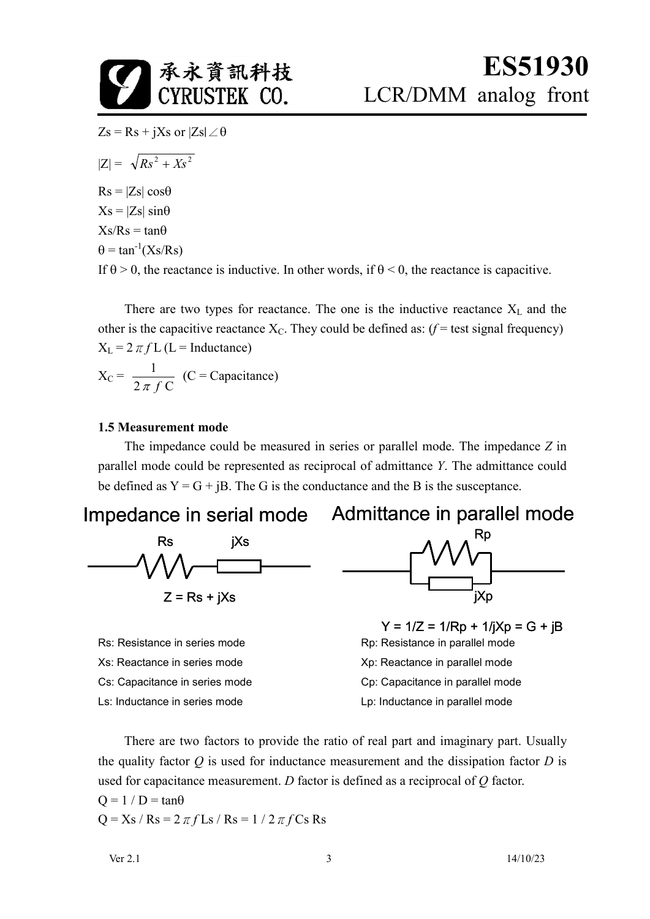

 $Zs = Rs + jXs$  or  $|Zs| \angle \theta$ 

$$
|Z| = \sqrt{Rs^2 + Xs^2}
$$

 $Rs = |Zs| \cos\theta$  $Xs = |Zs| \sin\theta$ 

 $Xs/Rs = tan\theta$ 

 $\theta = \tan^{-1}(Xs/Rs)$ 

If  $\theta > 0$ , the reactance is inductive. In other words, if  $\theta \le 0$ , the reactance is capacitive.

There are two types for reactance. The one is the inductive reactance  $X_L$  and the other is the capacitive reactance  $X_c$ . They could be defined as:  $(f = test signal frequency)$  $X_L = 2 \pi f L$  (L = Inductance)

$$
X_C = \frac{1}{2 \pi f C} \quad (C = \text{Capacitance})
$$

#### **1.5 Measurement mode**

The impedance could be measured in series or parallel mode. The impedance *Z* in parallel mode could be represented as reciprocal of admittance *Y*. The admittance could be defined as  $Y = G + iB$ . The G is the conductance and the B is the susceptance.

Impedance in serial mode Admittance in parallel mode



Xs: Reactance in series mode<br>
Xp: Reactance in parallel mode Ls: Inductance in series mode Letter Letter Letter Letter Letter in parallel mode



Rs: Resistance in series mode Rp: Resistance in parallel mode Cs: Capacitance in series mode Cp: Capacitance in parallel mode  $Y = 1/Z = 1/Rp + 1/IXp = G + iB$ 

There are two factors to provide the ratio of real part and imaginary part. Usually the quality factor *Q* is used for inductance measurement and the dissipation factor *D* is used for capacitance measurement. *D* factor is defined as a reciprocal of *Q* factor.

 $Q = 1 / D = \tan \theta$  $Q = Xs / Rs = 2 \pi f Ls / Rs = 1 / 2 \pi f Cs Rs$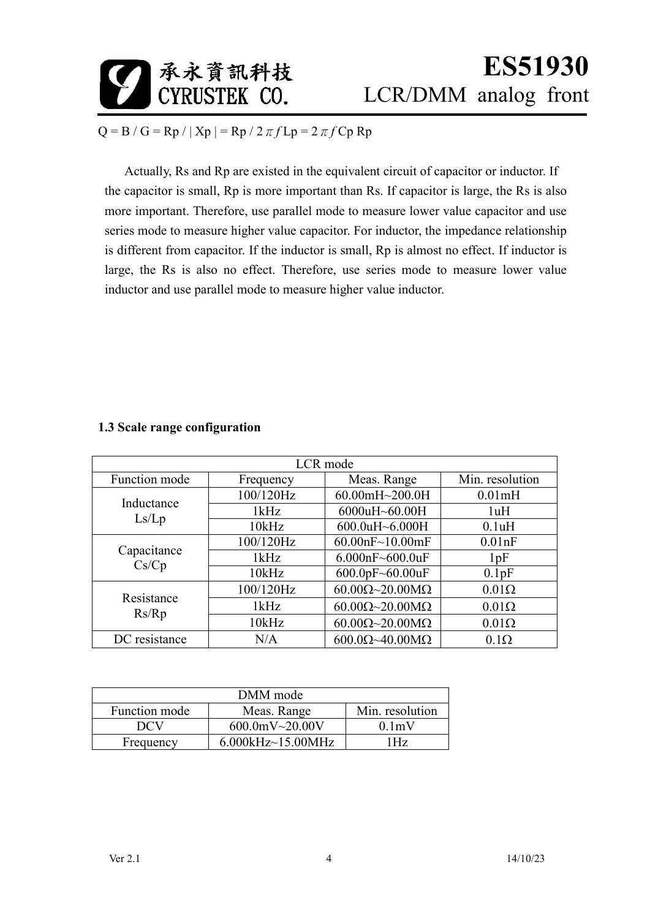

# **ES51930**  LCR/DMM analog front

 $Q = B / G = Rp / | Xp | = Rp / 2 \pi f Lp = 2 \pi f Cp Rp$ 

Actually, Rs and Rp are existed in the equivalent circuit of capacitor or inductor. If the capacitor is small, Rp is more important than Rs. If capacitor is large, the Rs is also more important. Therefore, use parallel mode to measure lower value capacitor and use series mode to measure higher value capacitor. For inductor, the impedance relationship is different from capacitor. If the inductor is small, Rp is almost no effect. If inductor is large, the Rs is also no effect. Therefore, use series mode to measure lower value inductor and use parallel mode to measure higher value inductor.

| LCR mode             |           |                                      |                 |  |  |  |  |  |
|----------------------|-----------|--------------------------------------|-----------------|--|--|--|--|--|
| Function mode        | Frequency | Meas. Range                          | Min. resolution |  |  |  |  |  |
| Inductance<br>Ls/Lp  | 100/120Hz | 60.00mH~200.0H                       | 0.01mH          |  |  |  |  |  |
|                      | 1kHz      | 6000uH~60.00H                        | 1uH             |  |  |  |  |  |
|                      | 10kHz     | 600.0uH~6.000H                       | 0.1uH           |  |  |  |  |  |
| Capacitance<br>Cs/Cp | 100/120Hz | 60.00nF~10.00mF                      | $0.01$ n $F$    |  |  |  |  |  |
|                      | 1kHz      | 6.000nF~600.0uF                      | 1pF             |  |  |  |  |  |
|                      | 10kHz     | $600.0$ pF~60.00uF                   | 0.1pF           |  |  |  |  |  |
| Resistance<br>Rs/Rp  | 100/120Hz | $60.00\Omega\sim20.00\text{M}\Omega$ | $0.01\Omega$    |  |  |  |  |  |
|                      | 1kHz      | $60.00\Omega\sim20.00\text{M}\Omega$ | $0.01\Omega$    |  |  |  |  |  |
|                      | 10kHz     | $60.00\Omega\sim20.00\text{M}\Omega$ | $0.01\Omega$    |  |  |  |  |  |
| DC resistance<br>N/A |           | $600.0\Omega$ ~40.00M $\Omega$       | $0.1\Omega$     |  |  |  |  |  |

### **1.3 Scale range configuration**

| DMM mode      |                   |                    |  |  |  |  |
|---------------|-------------------|--------------------|--|--|--|--|
| Function mode | Meas. Range       | Min. resolution    |  |  |  |  |
| DCV           | $600.0$ mV~20.00V | 0.1 <sub>m</sub> V |  |  |  |  |
| Frequency     | 6.000kHz~15.00MHz | l Hz               |  |  |  |  |